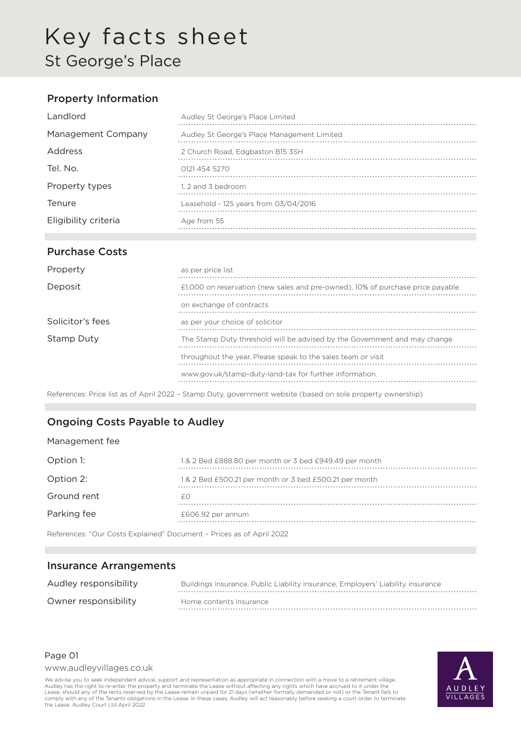### Property Information

| Landlord             | Audley St George's Place Limited            |
|----------------------|---------------------------------------------|
| Management Company   | Audley St George's Place Management Limited |
| Address              | 2 Church Road, Edgbaston B15 3SH            |
| Tel. No.             | 0121 454 5270                               |
| Property types       | 1. 2 and 3 bedroom                          |
| <b>Tenure</b>        | Leasehold - 125 years from 03/04/2016       |
| Eligibility criteria | Age from 55                                 |

### Purchase Costs

| Property         | as per price list                                                              |
|------------------|--------------------------------------------------------------------------------|
| Deposit          | £1,000 on reservation (new sales and pre-owned), 10% of purchase price payable |
|                  | on exchange of contracts                                                       |
| Solicitor's fees | as per your choice of solicitor                                                |
| Stamp Duty       | The Stamp Duty threshold will be advised by the Government and may change      |
|                  | throughout the year. Please speak to the sales team or visit                   |
|                  | www.gov.uk/stamp-duty-land-tax for further information.                        |

References: Price list as of April 2022 – Stamp Duty, government website (based on sole property ownership)

### Ongoing Costs Payable to Audley

#### Management fee

| Option 1:   | 1& 2 Bed £888.80 per month or 3 bed £949.49 per month |
|-------------|-------------------------------------------------------|
| Option 2:   | 1& 2 Bed £500.21 per month or 3 bed £500.21 per month |
| Ground rent |                                                       |
| Parking fee | £606.92 per annum                                     |
|             |                                                       |

References: "Our Costs Explained" Document – Prices as of April 2022

#### Insurance Arrangements

| Audley responsibility | Buildings insurance, Public Liability insurance, Employers' Liability insurance |
|-----------------------|---------------------------------------------------------------------------------|
| Owner responsibility  | Home contents insurance                                                         |

#### Page 01

www.audleyvillages.co.uk

We advise you to seek independent advice, support and representation as appropriate in connection with a move to a retirement village. Audley has the right to re-enter the property and terminate the Lease without affecting any rights which have accrued to it under the<br>Lease, should any of the rents reserved by the Lease remain unpaid for 21 days (whether comply with any of the Tenants obligations in the Lease. In these cases, Audley will act reasonably before seeking a court order to terminate the Lease. Audley Court Ltd April 2022